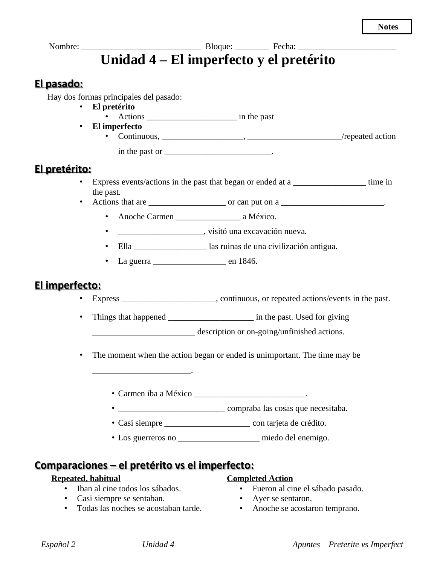# Nombre: \_\_\_\_\_\_\_\_\_\_\_\_\_\_\_\_\_\_\_\_\_\_\_\_\_\_\_\_ Bloque: \_\_\_\_\_\_\_\_ Fecha: \_\_\_\_\_\_\_\_\_\_\_\_\_\_\_\_\_\_\_\_\_\_\_ **Unidad 4 – El imperfecto y el pretérito**

### **El pasado:**

Hay dos formas principales del pasado:

• **El pretérito**

• Actions \_\_\_\_\_\_\_\_\_\_\_\_\_\_\_\_\_\_\_\_\_ in the past

• **El imperfecto**

• Continuous, \_\_\_\_\_\_\_\_\_\_\_\_\_\_\_\_\_\_\_, \_\_\_\_\_\_\_\_\_\_\_\_\_\_\_\_\_\_\_\_\_\_/repeated action in the past or \_\_\_\_\_\_\_\_\_\_\_\_\_\_\_\_\_\_\_\_\_\_\_\_\_\_.

## **El pretérito:**

- Express events/actions in the past that began or ended at a \_\_\_\_\_\_\_\_\_\_\_\_\_\_\_\_\_\_\_ time in the past.
- Actions that are  $\frac{1}{\sqrt{1-\frac{1}{n}}}$  or can put on a  $\frac{1}{\sqrt{1-\frac{1}{n}}}$ .
	- Anoche Carmen a México.
	- \_\_\_\_\_\_\_\_\_\_\_\_\_\_\_\_\_\_\_\_, visitó una excavación nueva.
	- Ella \_\_\_\_\_\_\_\_\_\_\_\_\_\_\_\_\_ las ruinas de una civilización antigua.
	- La guerra en 1846.

### **El imperfecto:**

- Express \_\_\_\_\_\_\_\_\_\_\_\_\_\_\_\_\_\_\_\_, continuous, or repeated actions/events in the past.
- Things that happened \_\_\_\_\_\_\_\_\_\_\_\_\_\_\_\_\_\_\_\_\_\_\_\_\_ in the past. Used for giving

\_\_\_\_\_\_\_\_\_\_\_\_\_\_\_\_\_\_\_\_\_\_\_\_ description or on-going/unfinished actions.

- The moment when the action began or ended is unimportant. The time may be
	- Carmen iba a México \_\_\_\_\_\_\_\_\_\_\_\_\_\_\_\_\_\_\_\_\_\_\_\_\_\_.
	- \_\_\_\_\_\_\_\_\_\_\_\_\_\_\_\_\_\_\_\_\_\_\_\_\_ compraba las cosas que necesitaba.
	- Casi siempre \_\_\_\_\_\_\_\_\_\_\_\_\_\_\_\_\_\_\_\_ con tarjeta de crédito.
	- Los guerreros no \_\_\_\_\_\_\_\_\_\_\_\_\_\_\_\_\_\_\_ miedo del enemigo.

### **Comparaciones – el pretérito vs el imperfecto:**

\_\_\_\_\_\_\_\_\_\_\_\_\_\_\_\_\_\_\_\_\_\_\_.

#### **Repeated, habitual**

- Iban al cine todos los sábados.
- Casi siempre se sentaban.
- Todas las noches se acostaban tarde.

#### **Completed Action**

- Fueron al cine el sábado pasado.
- Ayer se sentaron.
- Anoche se acostaron temprano.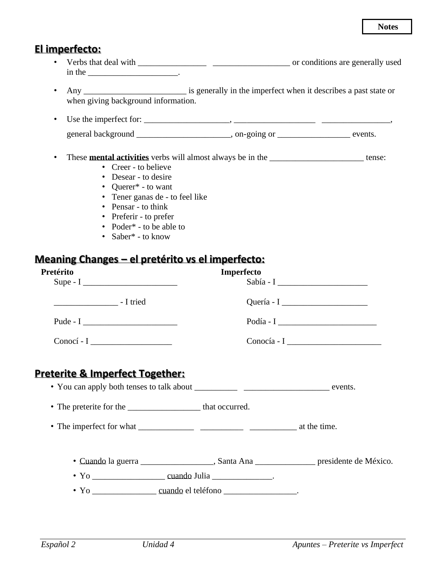### El imperfecto:

- in the  $\frac{1}{2}$  in the  $\frac{1}{2}$  in the  $\frac{1}{2}$  in the  $\frac{1}{2}$  in the  $\frac{1}{2}$  in the  $\frac{1}{2}$  in the  $\frac{1}{2}$  in the  $\frac{1}{2}$  in the  $\frac{1}{2}$  in the  $\frac{1}{2}$  in the  $\frac{1}{2}$  in the  $\frac{1}{2}$  in the  $\frac{1}{2}$
- when giving background information.
- general background constraints on provide the constraints on the constraints on the constraints.

#### • These **mental activities** verbs will almost always be in the \_\_\_\_\_\_\_\_\_\_\_\_\_\_\_\_\_\_\_\_\_\_tense:

- Creer to believe
- Desear to desire
- Querer\* to want
- Tener ganas de to feel like
- Pensar to think
- Preferir to prefer
- Poder\* to be able to
- Saber<sup>\*</sup> to know

## Meaning Changes - el pretérito vs el imperfecto:

| Pretérito                                                                                  | Imperfecto |                                                              |
|--------------------------------------------------------------------------------------------|------------|--------------------------------------------------------------|
|                                                                                            |            |                                                              |
|                                                                                            |            | Podía - I $\frac{1}{\sqrt{1-\frac{1}{2}} \cdot \frac{1}{2}}$ |
|                                                                                            |            | $Conocía - I$                                                |
| <b>Preterite &amp; Imperfect Together:</b>                                                 |            |                                                              |
| • The preterite for the _______________________ that occurred.                             |            |                                                              |
|                                                                                            |            |                                                              |
| • Cuando la guerra _____________________, Santa Ana ________________ presidente de México. |            |                                                              |
|                                                                                            |            |                                                              |